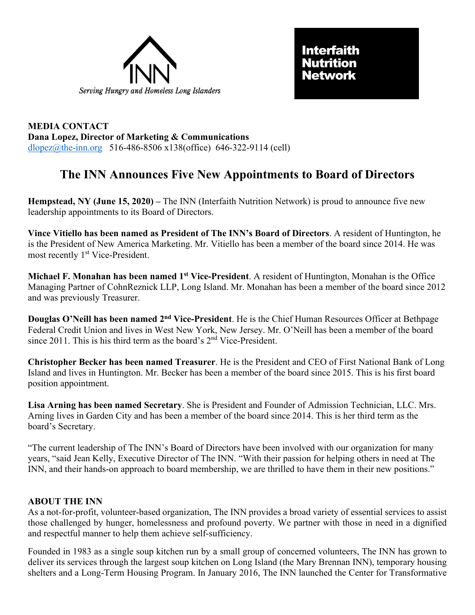



**MEDIA CONTACT Dana Lopez, Director of Marketing & Communications** [dlopez@the-inn.org](mailto:dlopez@the-inn.org) 516-486-8506 x138(office) 646-322-9114 (cell)

## **The INN Announces Five New Appointments to Board of Directors**

**Hempstead, NY (June 15, 2020) –** The INN (Interfaith Nutrition Network) is proud to announce five new leadership appointments to its Board of Directors.

**Vince Vitiello has been named as President of The INN's Board of Directors**. A resident of Huntington, he is the President of New America Marketing. Mr. Vitiello has been a member of the board since 2014. He was most recently 1<sup>st</sup> Vice-President.

**Michael F. Monahan has been named 1st Vice-President**. A resident of Huntington, Monahan is the Office Managing Partner of CohnReznick LLP, Long Island. Mr. Monahan has been a member of the board since 2012 and was previously Treasurer.

**Douglas O'Neill has been named 2nd Vice-President**. He is the Chief Human Resources Officer at Bethpage Federal Credit Union and lives in West New York, New Jersey. Mr. O'Neill has been a member of the board since 2011. This is his third term as the board's  $2<sup>nd</sup>$  Vice-President.

**Christopher Becker has been named Treasurer**. He is the President and CEO of First National Bank of Long Island and lives in Huntington. Mr. Becker has been a member of the board since 2015. This is his first board position appointment.

**Lisa Arning has been named Secretary**. She is President and Founder of Admission Technician, LLC. Mrs. Arning lives in Garden City and has been a member of the board since 2014. This is her third term as the board's Secretary.

"The current leadership of The INN's Board of Directors have been involved with our organization for many years, "said Jean Kelly, Executive Director of The INN. "With their passion for helping others in need at The INN, and their hands-on approach to board membership, we are thrilled to have them in their new positions."

## **ABOUT THE INN**

As a not-for-profit, volunteer-based organization, The INN provides a broad variety of essential services to assist those challenged by hunger, homelessness and profound poverty. We partner with those in need in a dignified and respectful manner to help them achieve self-sufficiency.

Founded in 1983 as a single soup kitchen run by a small group of concerned volunteers, The INN has grown to deliver its services through the largest soup kitchen on Long Island (the Mary Brennan INN), temporary housing shelters and a Long-Term Housing Program. In January 2016, The INN launched the Center for Transformative